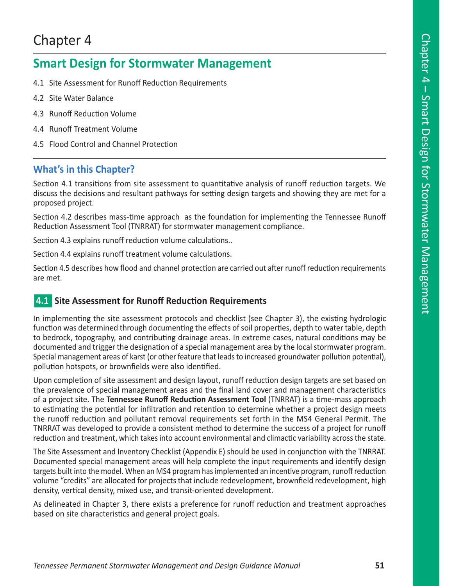# Chapter 4

# **Smart Design for Stormwater Management**

- 4.1 Site Assessment for Runoff Reduction Requirements
- 4.2 Site Water Balance
- 4.3 Runoff Reduction Volume
- 4.4 Runoff Treatment Volume
- 4.5 Flood Control and Channel Protection

### **What's in this Chapter?**

Section 4.1 transitions from site assessment to quantitative analysis of runoff reduction targets. We discuss the decisions and resultant pathways for setting design targets and showing they are met for a proposed project.

Section 4.2 describes mass-time approach as the foundation for implementing the Tennessee Runoff Reduction Assessment Tool (TNRRAT) for stormwater management compliance.

Section 4.3 explains runoff reduction volume calculations..

Section 4.4 explains runoff treatment volume calculations.

Section 4.5 describes how flood and channel protection are carried out after runoff reduction requirements are met.

### **4.1** Site Assessment for Runoff Reduction Requirements

In implementing the site assessment protocols and checklist (see Chapter 3), the existing hydrologic function was determined through documenting the effects of soil properties, depth to water table, depth to bedrock, topography, and contributing drainage areas. In extreme cases, natural conditions may be documented and trigger the designation of a special management area by the local stormwater program. Special management areas of karst (or other feature that leads to increased groundwater pollution potential), pollution hotspots, or brownfields were also identified.

Upon completion of site assessment and design layout, runoff reduction design targets are set based on the prevalence of special management areas and the final land cover and management characteristics of a project site. The **Tennessee Runoff Reduction Assessment Tool** (TNRRAT) is a time-mass approach to estimating the potential for infiltration and retention to determine whether a project design meets the runoff reduction and pollutant removal requirements set forth in the MS4 General Permit. The TNRRAT was developed to provide a consistent method to determine the success of a project for runoff reduction and treatment, which takes into account environmental and climactic variability across the state.

The Site Assessment and Inventory Checklist (Appendix E) should be used in conjunction with the TNRRAT. Documented special management areas will help complete the input requirements and identify design targets built into the model. When an MS4 program has implemented an incentive program, runoff reduction volume "credits" are allocated for projects that include redevelopment, brownfield redevelopment, high density, vertical density, mixed use, and transit-oriented development.

As delineated in Chapter 3, there exists a preference for runoff reduction and treatment approaches based on site characteristics and general project goals.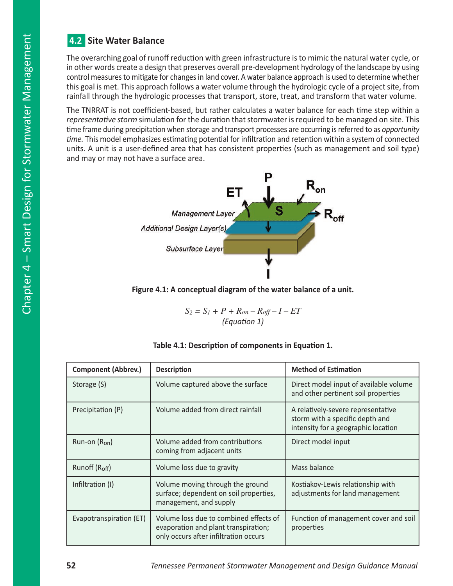### n**4.2 Site Water Balance**

The overarching goal of runoff reduction with green infrastructure is to mimic the natural water cycle, or in other words create a design that preserves overall pre-development hydrology of the landscape by using control measures to mitigate for changes in land cover. A water balance approach is used to determine whether this goal is met. This approach follows a water volume through the hydrologic cycle of a project site, from rainfall through the hydrologic processes that transport, store, treat, and transform that water volume.

The TNRRAT is not coefficient-based, but rather calculates a water balance for each time step within a *representative storm* simulation for the duration that stormwater is required to be managed on site. This time frame during precipitation when storage and transport processes are occurring is referred to as *opportunity time.* This model emphasizes estimating potential for infiltration and retention within a system of connected units. A unit is a user-defined area that has consistent properties (such as management and soil type) and may or may not have a surface area.



**Figure 4.1: A conceptual diagram of the water balance of a unit.** 

$$
S_2 = S_I + P + R_{on} - R_{off} - I - ET
$$
  
(Equation 1)

| <b>Component (Abbrev.)</b> | <b>Description</b>                                                                                                      | <b>Method of Estimation</b>                                                                                  |  |
|----------------------------|-------------------------------------------------------------------------------------------------------------------------|--------------------------------------------------------------------------------------------------------------|--|
| Storage (S)                | Volume captured above the surface                                                                                       | Direct model input of available volume<br>and other pertinent soil properties                                |  |
| Precipitation (P)          | Volume added from direct rainfall                                                                                       | A relatively-severe representative<br>storm with a specific depth and<br>intensity for a geographic location |  |
| $Run-on (Ron)$             | Volume added from contributions<br>coming from adjacent units                                                           | Direct model input                                                                                           |  |
| Runoff $(Roff)$            | Volume loss due to gravity                                                                                              | Mass balance                                                                                                 |  |
| Infiltration (I)           | Volume moving through the ground<br>surface; dependent on soil properties,<br>management, and supply                    | Kostiakov-Lewis relationship with<br>adjustments for land management                                         |  |
| Evapotranspiration (ET)    | Volume loss due to combined effects of<br>evaporation and plant transpiration;<br>only occurs after infiltration occurs | Function of management cover and soil<br>properties                                                          |  |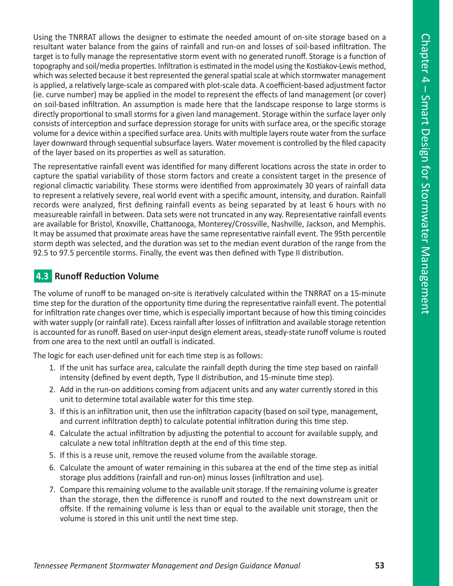Using the TNRRAT allows the designer to estimate the needed amount of on-site storage based on a resultant water balance from the gains of rainfall and run-on and losses of soil-based infiltration. The target is to fully manage the representative storm event with no generated runoff. Storage is a function of topography and soil/media properties. Infiltration is estimated in the model using the Kostiakov-Lewis method, which was selected because it best represented the general spatial scale at which stormwater management is applied, a relatively large-scale as compared with plot-scale data. A coefficient-based adjustment factor (ie. curve number) may be applied in the model to represent the effects of land management (or cover) on soil-based infiltration. An assumption is made here that the landscape response to large storms is directly proportional to small storms for a given land management. Storage within the surface layer only consists of interception and surface depression storage for units with surface area, or the specific storage volume for a device within a specified surface area. Units with multiple layers route water from the surface layer downward through sequential subsurface layers. Water movement is controlled by the filed capacity of the layer based on its properties as well as saturation.

The representative rainfall event was identified for many different locations across the state in order to capture the spatial variability of those storm factors and create a consistent target in the presence of regional climactic variability. These storms were identified from approximately 30 years of rainfall data to represent a relatively severe, real world event with a specific amount, intensity, and duration. Rainfall records were analyzed, first defining rainfall events as being separated by at least 6 hours with no measureable rainfall in between. Data sets were not truncated in any way. Representative rainfall events are available for Bristol, Knoxville, Chattanooga, Monterey/Crossville, Nashville, Jackson, and Memphis. It may be assumed that proximate areas have the same representative rainfall event. The 95th percentile storm depth was selected, and the duration was set to the median event duration of the range from the 92.5 to 97.5 percentile storms. Finally, the event was then defined with Type II distribution.

### **4.3 Runoff Reduction Volume**

The volume of runoff to be managed on-site is iteratively calculated within the TNRRAT on a 15-minute time step for the duration of the opportunity time during the representative rainfall event. The potential for infiltration rate changes over time, which is especially important because of how this timing coincides with water supply (or rainfall rate). Excess rainfall after losses of infiltration and available storage retention is accounted for as runoff. Based on user-input design element areas, steady-state runoff volume is routed from one area to the next until an outfall is indicated.

The logic for each user-defined unit for each time step is as follows:

- 1. If the unit has surface area, calculate the rainfall depth during the time step based on rainfall intensity (defined by event depth, Type II distribution, and 15-minute time step).
- 2. Add in the run-on additions coming from adjacent units and any water currently stored in this unit to determine total available water for this time step.
- 3. If this is an infiltration unit, then use the infiltration capacity (based on soil type, management, and current infiltration depth) to calculate potential infiltration during this time step.
- 4. Calculate the actual infiltration by adjusting the potential to account for available supply, and calculate a new total infiltration depth at the end of this time step.
- 5. If this is a reuse unit, remove the reused volume from the available storage.
- 6. Calculate the amount of water remaining in this subarea at the end of the time step as initial storage plus additions (rainfall and run-on) minus losses (infiltration and use).
- 7. Compare this remaining volume to the available unit storage. If the remaining volume is greater than the storage, then the difference is runoff and routed to the next downstream unit or offsite. If the remaining volume is less than or equal to the available unit storage, then the volume is stored in this unit until the next time step.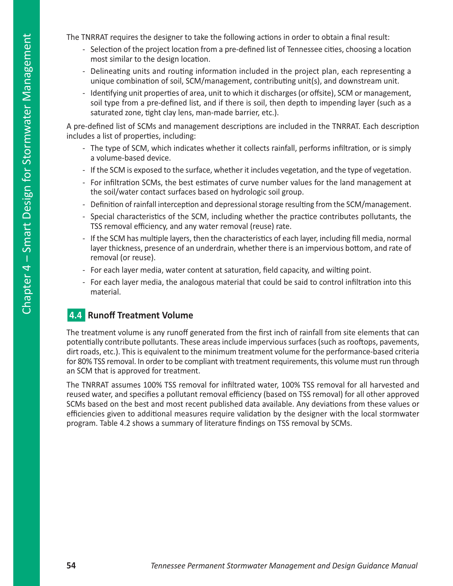The TNRRAT requires the designer to take the following actions in order to obtain a final result:

- Selection of the project location from a pre-defined list of Tennessee cities, choosing a location most similar to the design location.
- Delineating units and routing information included in the project plan, each representing a unique combination of soil, SCM/management, contributing unit(s), and downstream unit.
- Identifying unit properties of area, unit to which it discharges (or offsite), SCM or management, soil type from a pre-defined list, and if there is soil, then depth to impending layer (such as a saturated zone, tight clay lens, man-made barrier, etc.).

A pre-defined list of SCMs and management descriptions are included in the TNRRAT. Each description includes a list of properties, including:

- The type of SCM, which indicates whether it collects rainfall, performs infiltration, or is simply a volume-based device.
- If the SCM is exposed to the surface, whether it includes vegetation, and the type of vegetation.
- For infiltration SCMs, the best estimates of curve number values for the land management at the soil/water contact surfaces based on hydrologic soil group.
- Definition of rainfall interception and depressional storage resulting from the SCM/management.
- Special characteristics of the SCM, including whether the practice contributes pollutants, the TSS removal efficiency, and any water removal (reuse) rate.
- If the SCM has multiple layers, then the characteristics of each layer, including fill media, normal layer thickness, presence of an underdrain, whether there is an impervious bottom, and rate of removal (or reuse).
- For each layer media, water content at saturation, field capacity, and wilting point.
- For each layer media, the analogous material that could be said to control infiltration into this material.

### **4.4 Runoff Treatment Volume**

The treatment volume is any runoff generated from the first inch of rainfall from site elements that can potentially contribute pollutants. These areas include impervious surfaces (such as rooftops, pavements, dirt roads, etc.). This is equivalent to the minimum treatment volume for the performance-based criteria for 80% TSS removal. In order to be compliant with treatment requirements, this volume must run through an SCM that is approved for treatment.

The TNRRAT assumes 100% TSS removal for infiltrated water, 100% TSS removal for all harvested and reused water, and specifies a pollutant removal efficiency (based on TSS removal) for all other approved SCMs based on the best and most recent published data available. Any deviations from these values or efficiencies given to additional measures require validation by the designer with the local stormwater program. Table 4.2 shows a summary of literature findings on TSS removal by SCMs.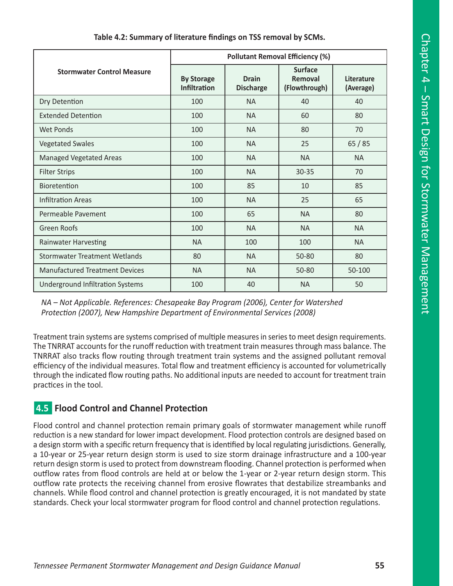|                                       | <b>Pollutant Removal Efficiency (%)</b>  |                                  |                                            |                         |
|---------------------------------------|------------------------------------------|----------------------------------|--------------------------------------------|-------------------------|
| <b>Stormwater Control Measure</b>     | <b>By Storage</b><br><b>Infiltration</b> | <b>Drain</b><br><b>Discharge</b> | <b>Surface</b><br>Removal<br>(Flowthrough) | Literature<br>(Average) |
| Dry Detention                         | 100                                      | <b>NA</b>                        | 40                                         | 40                      |
| <b>Extended Detention</b>             | 100                                      | <b>NA</b>                        | 60                                         | 80                      |
| Wet Ponds                             | 100                                      | <b>NA</b>                        | 80                                         | 70                      |
| <b>Vegetated Swales</b>               | 100                                      | <b>NA</b>                        | 25                                         | 65/85                   |
| <b>Managed Vegetated Areas</b>        | 100                                      | <b>NA</b>                        | <b>NA</b>                                  | <b>NA</b>               |
| <b>Filter Strips</b>                  | 100                                      | <b>NA</b>                        | $30 - 35$                                  | 70                      |
| Bioretention                          | 100                                      | 85                               | 10                                         | 85                      |
| <b>Infiltration Areas</b>             | 100                                      | <b>NA</b>                        | 25                                         | 65                      |
| Permeable Pavement                    | 100                                      | 65                               | <b>NA</b>                                  | 80                      |
| <b>Green Roofs</b>                    | 100                                      | <b>NA</b>                        | <b>NA</b>                                  | <b>NA</b>               |
| <b>Rainwater Harvesting</b>           | <b>NA</b>                                | 100                              | 100                                        | <b>NA</b>               |
| Stormwater Treatment Wetlands         | 80                                       | <b>NA</b>                        | 50-80                                      | 80                      |
| <b>Manufactured Treatment Devices</b> | <b>NA</b>                                | <b>NA</b>                        | 50-80                                      | 50-100                  |
| Underground Infiltration Systems      | 100                                      | 40                               | <b>NA</b>                                  | 50                      |

**Table 4.2: Summary of literature findings on TSS removal by SCMs.**

*NA – Not Applicable. References: Chesapeake Bay Program (2006), Center for Watershed Protection (2007), New Hampshire Department of Environmental Services (2008)*

Treatment train systems are systems comprised of multiple measures in series to meet design requirements. The TNRRAT accounts for the runoff reduction with treatment train measures through mass balance. The TNRRAT also tracks flow routing through treatment train systems and the assigned pollutant removal efficiency of the individual measures. Total flow and treatment efficiency is accounted for volumetrically through the indicated flow routing paths. No additional inputs are needed to account for treatment train practices in the tool.

## n**4.5 Flood Control and Channel Protection**

Flood control and channel protection remain primary goals of stormwater management while runoff reduction is a new standard for lower impact development. Flood protection controls are designed based on a design storm with a specific return frequency that is identified by local regulating jurisdictions. Generally, a 10-year or 25-year return design storm is used to size storm drainage infrastructure and a 100-year return design storm is used to protect from downstream flooding. Channel protection is performed when outflow rates from flood controls are held at or below the 1-year or 2-year return design storm. This outflow rate protects the receiving channel from erosive flowrates that destabilize streambanks and channels. While flood control and channel protection is greatly encouraged, it is not mandated by state standards. Check your local stormwater program for flood control and channel protection regulations.